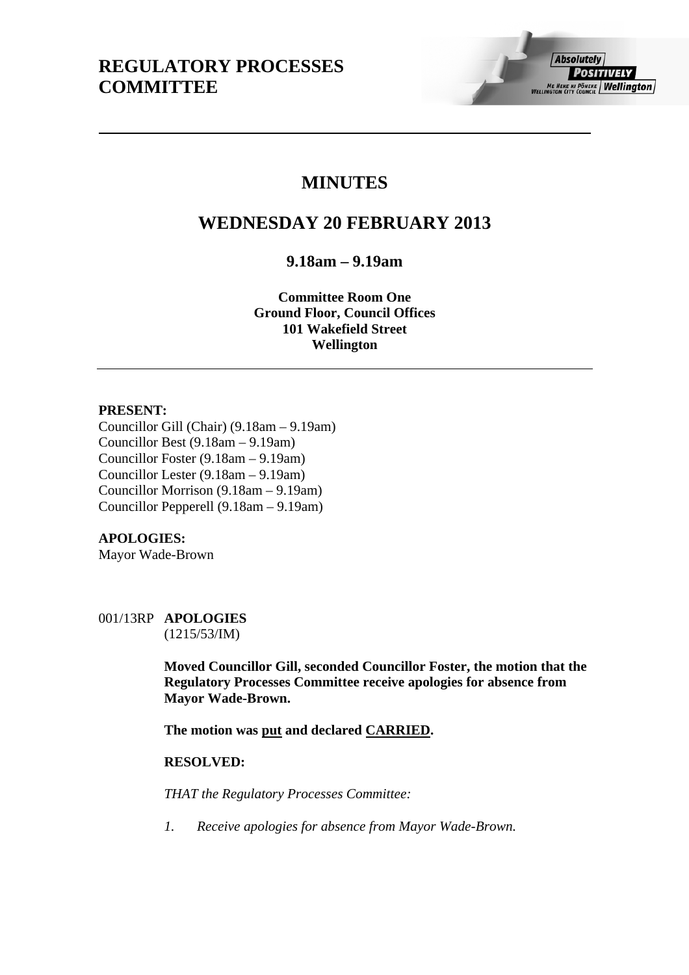# **MINUTES**

# **WEDNESDAY 20 FEBRUARY 2013**

**9.18am – 9.19am** 

**Committee Room One Ground Floor, Council Offices 101 Wakefield Street Wellington** 

# **PRESENT:**

Councillor Gill (Chair) (9.18am – 9.19am) Councillor Best (9.18am – 9.19am) Councillor Foster (9.18am – 9.19am) Councillor Lester (9.18am – 9.19am) Councillor Morrison (9.18am – 9.19am) Councillor Pepperell (9.18am – 9.19am)

# **APOLOGIES:**

Mayor Wade-Brown

001/13RP **APOLOGIES**  (1215/53/IM)

> **Moved Councillor Gill, seconded Councillor Foster, the motion that the Regulatory Processes Committee receive apologies for absence from Mayor Wade-Brown.**

**The motion was put and declared CARRIED.** 

## **RESOLVED:**

*THAT the Regulatory Processes Committee:* 

*1. Receive apologies for absence from Mayor Wade-Brown.*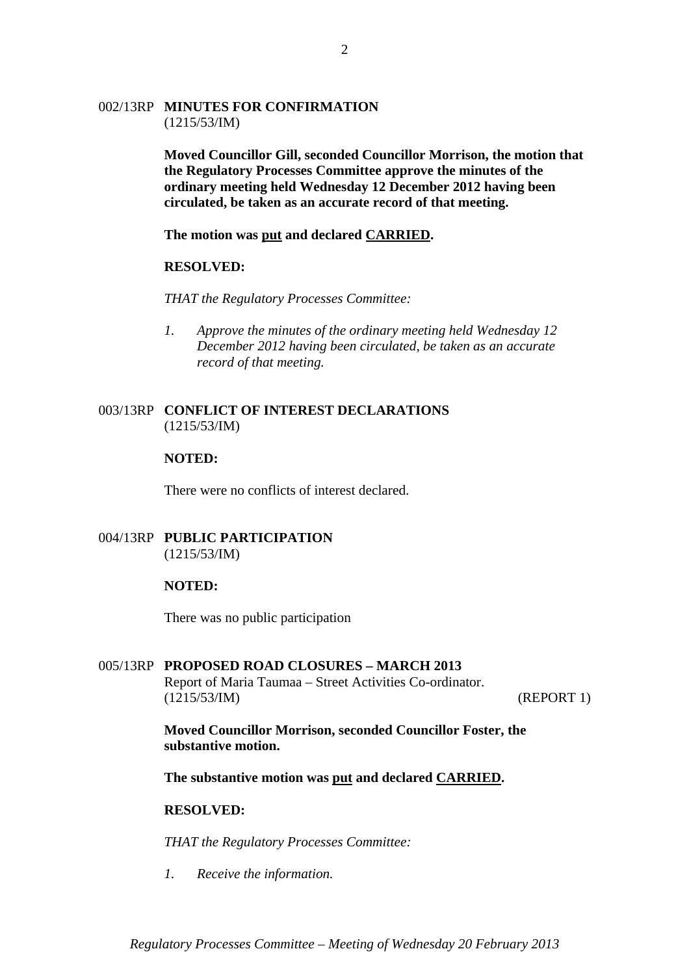## 002/13RP **MINUTES FOR CONFIRMATION**  (1215/53/IM)

**Moved Councillor Gill, seconded Councillor Morrison, the motion that the Regulatory Processes Committee approve the minutes of the ordinary meeting held Wednesday 12 December 2012 having been circulated, be taken as an accurate record of that meeting.** 

**The motion was put and declared CARRIED.** 

#### **RESOLVED:**

*THAT the Regulatory Processes Committee:* 

*1. Approve the minutes of the ordinary meeting held Wednesday 12 December 2012 having been circulated, be taken as an accurate record of that meeting.* 

#### 003/13RP **CONFLICT OF INTEREST DECLARATIONS**  (1215/53/IM)

#### **NOTED:**

There were no conflicts of interest declared.

## 004/13RP **PUBLIC PARTICIPATION**  (1215/53/IM)

#### **NOTED:**

There was no public participation

# 005/13RP **PROPOSED ROAD CLOSURES – MARCH 2013**

Report of Maria Taumaa – Street Activities Co-ordinator. (1215/53/IM) (REPORT 1)

**Moved Councillor Morrison, seconded Councillor Foster, the substantive motion.** 

**The substantive motion was put and declared CARRIED.** 

## **RESOLVED:**

*THAT the Regulatory Processes Committee:* 

*1. Receive the information.* 

*Regulatory Processes Committee – Meeting of Wednesday 20 February 2013*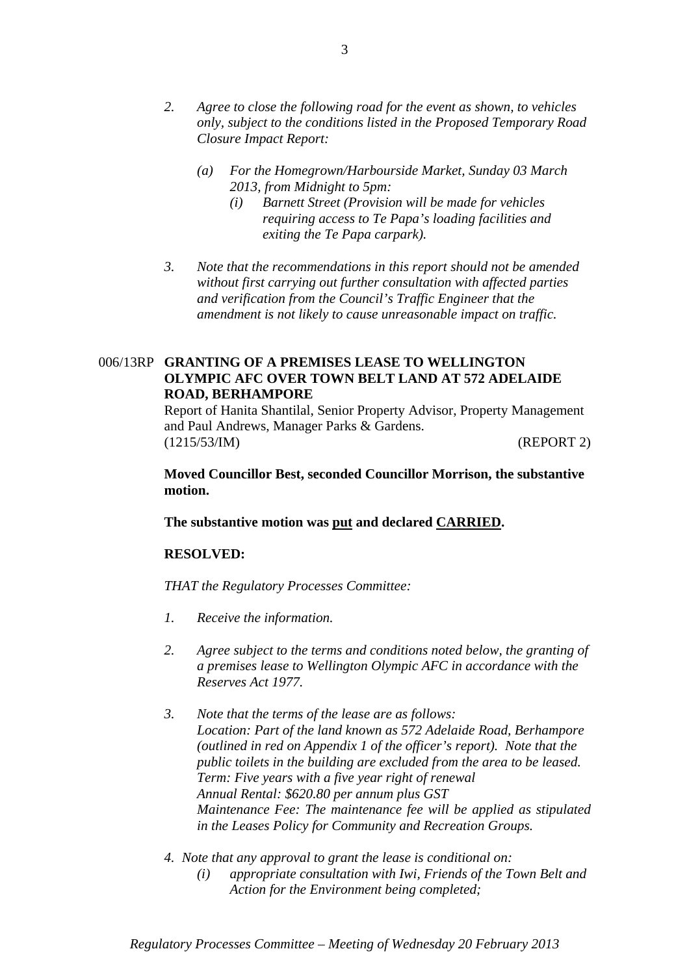- *2. Agree to close the following road for the event as shown, to vehicles only, subject to the conditions listed in the Proposed Temporary Road Closure Impact Report:* 
	- *(a) For the Homegrown/Harbourside Market, Sunday 03 March 2013, from Midnight to 5pm:* 
		- *(i) Barnett Street (Provision will be made for vehicles requiring access to Te Papa's loading facilities and exiting the Te Papa carpark).*
- *3. Note that the recommendations in this report should not be amended without first carrying out further consultation with affected parties and verification from the Council's Traffic Engineer that the amendment is not likely to cause unreasonable impact on traffic.*

## 006/13RP **GRANTING OF A PREMISES LEASE TO WELLINGTON OLYMPIC AFC OVER TOWN BELT LAND AT 572 ADELAIDE ROAD, BERHAMPORE**

Report of Hanita Shantilal, Senior Property Advisor, Property Management and Paul Andrews, Manager Parks & Gardens. (1215/53/IM) (REPORT 2)

**Moved Councillor Best, seconded Councillor Morrison, the substantive motion.** 

**The substantive motion was put and declared CARRIED.** 

## **RESOLVED:**

*THAT the Regulatory Processes Committee:* 

- *1. Receive the information.*
- *2. Agree subject to the terms and conditions noted below, the granting of a premises lease to Wellington Olympic AFC in accordance with the Reserves Act 1977.*
- *3. Note that the terms of the lease are as follows: Location: Part of the land known as 572 Adelaide Road, Berhampore (outlined in red on Appendix 1 of the officer's report). Note that the public toilets in the building are excluded from the area to be leased. Term: Five years with a five year right of renewal Annual Rental: \$620.80 per annum plus GST Maintenance Fee: The maintenance fee will be applied as stipulated in the Leases Policy for Community and Recreation Groups.*
- *4. Note that any approval to grant the lease is conditional on:* 
	- *(i) appropriate consultation with Iwi, Friends of the Town Belt and Action for the Environment being completed;*